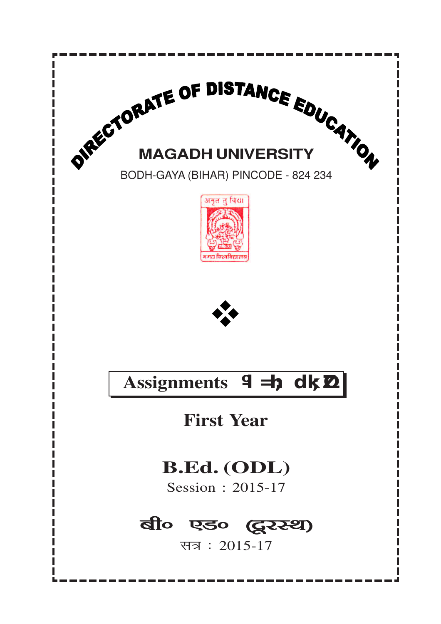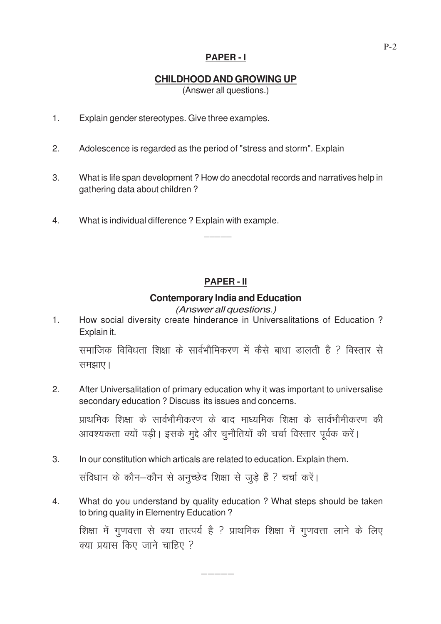#### **PAPER - I**

### **CHILDHOOD AND GROWING UP**

(Answer all questions.)

- 1. Explain gender stereotypes. Give three examples.
- 2. Adolescence is regarded as the period of "stress and storm". Explain
- 3. What is life span development ? How do anecdotal records and narratives help in gathering data about children ?

\_\_\_\_\_

4. What is individual difference ? Explain with example.

## **PAPER - II**

#### **Contemporary India and Education**

(Answer all questions.)

1. How social diversity create hinderance in Universalitations of Education ? Explain it.

समाजिक विविधता शिक्षा के सार्वभौमिकरण में कैसे बाधा डालती है ? विस्तार से समझाए।

2. After Universalitation of primary education why it was important to universalise secondary education ? Discuss its issues and concerns.

प्राथमिक शिक्षा के सार्वभौमीकरण के बाद माध्यमिक शिक्षा के सार्वभौमीकरण की आवश्यकता क्यों पड़ी। इसके मुद्दे और चुनौतियों की चर्चा विस्तार पूर्वक करें।

3. In our constitution which articals are related to education. Explain them.

संविधान के कौन-कौन से अनुच्छेद शिक्षा से जुड़े हैं ? चर्चा करें।

4. What do you understand by quality education ? What steps should be taken to bring quality in Elementry Education ?

—————

शिक्षा में गुणवत्ता से क्या तात्पर्य है ? प्राथमिक शिक्षा में गुणवत्ता लाने के लिए क्या प्रयास किए जाने चाहिए ?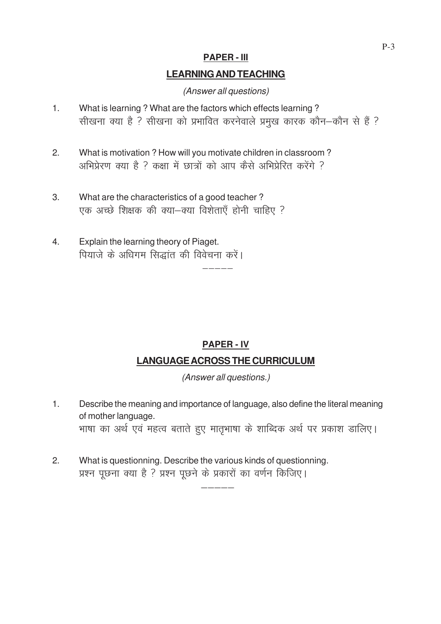#### **PAPER - III**

#### **LEARNING AND TEACHING**

(Answer all questions)

- 1. What is learning ? What are the factors which effects learning ? सीखना क्या है ? सीखना को प्रभावित करनेवाले प्रमुख कारक कौन-कौन से हैं ?
- 2. What is motivation ? How will you motivate children in classroom ? अभिप्रेरण क्या है ? कक्षा में छात्रों को आप कैसे अभिप्रेरित करेंगे ?
- 3. What are the characteristics of a good teacher ? एक अच्छे शिक्षक की क्या-क्या विशेताएँ होनी चाहिए ?
- 4. Explain the learning theory of Piaget. पियाजे के अधिगम सिद्धांत की विवेचना करें।

# **PAPER - IV LANGUAGE ACROSS THE CURRICULUM**

—————<br>—————

(Answer all questions.)

1. Describe the meaning and importance of language, also define the literal meaning of mother language. भाषा का अर्थ एवं महत्व बताते हुए मातृभाषा के शाब्दिक अर्थ पर प्रकाश डालिए।

—————

2. What is questionning. Describe the various kinds of questionning. प्रश्न पूछना क्या है ? प्रश्न पूछने के प्रकारों का वर्णन किजिए।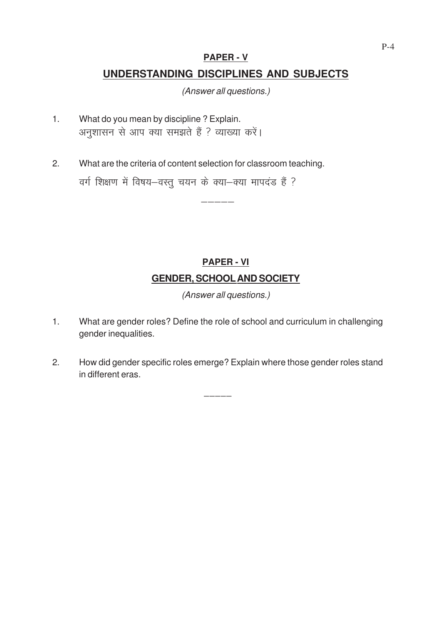#### **PAPER - V**

## **UNDERSTANDING DISCIPLINES AND SUBJECTS**

(Answer all questions.)

- 1. What do you mean by discipline ? Explain. अनुशासन से आप क्या समझते हैं ? व्याख्या करें।
- 2. What are the criteria of content selection for classroom teaching. वर्ग शिक्षण में विषय-वस्तु चयन के क्या-क्या मापदंड हैं ?

# **PAPER - VI GENDER, SCHOOLAND SOCIETY**

—————

(Answer all questions.)

- 1. What are gender roles? Define the role of school and curriculum in challenging gender inequalities.
- 2. How did gender specific roles emerge? Explain where those gender roles stand in different eras.

 $\overline{\phantom{a}}$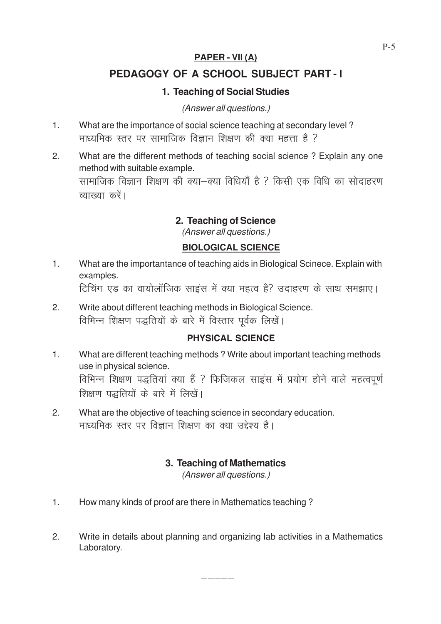### **PAPER - VII (A)**

## **PEDAGOGY OF A SCHOOL SUBJECT PART - I**

## **1. Teaching of Social Studies**

#### (Answer all questions.)

- 1. What are the importance of social science teaching at secondary level ? माध्यमिक स्तर पर सामाजिक विज्ञान शिक्षण की क्या महत्ता है ?
- 2. What are the different methods of teaching social science ? Explain any one method with suitable example. सामाजिक विज्ञान शिक्षण की क्या—क्या विधियाँ है ? किसी एक विधि का सोदाहरण व्याख्या करें।

### **2. Teaching of Science**

(Answer all questions.)

#### **BIOLOGICAL SCIENCE**

1. What are the importantance of teaching aids in Biological Scinece. Explain with examples.

<u>टिचिंग एड का वायोलॉजिक साइंस में क्या महत्व है? उदाहरण के साथ समझाए।</u>

2. Write about different teaching methods in Biological Science. विभिन्न शिक्षण पद्धतियों के बारे में विस्तार पूर्वक लिखें।

### **PHYSICAL SCIENCE**

- 1. What are different teaching methods ? Write about important teaching methods use in physical science. विभिन्न शिक्षण पद्धतियां क्या हैं ? फिजिकल साइंस में प्रयोग होने वाले महत्वपूर्ण शिक्षण पद्धतियों के बारे में लिखें।
- 2. What are the objective of teaching science in secondary education. माध्यमिक स्तर पर विज्ञान शिक्षण का क्या उद्देश्य है।

### **3. Teaching of Mathematics**

(Answer all questions.)

- 1. How many kinds of proof are there in Mathematics teaching ?
- 2. Write in details about planning and organizing lab activities in a Mathematics Laboratory.

—————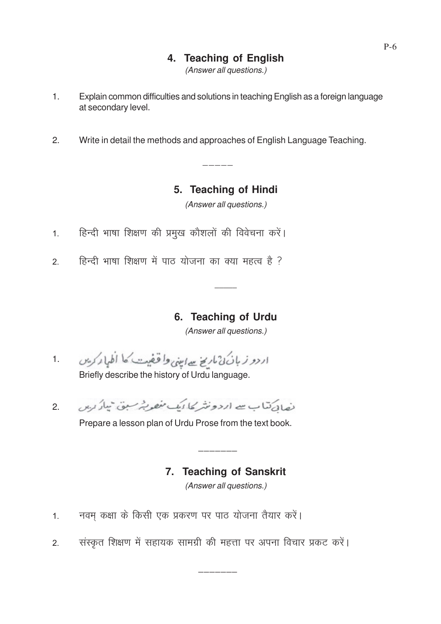## **4. Teaching of English**

(Answer all questions.)

- 1. Explain common difficulties and solutions in teaching English as a foreign language at secondary level.
- 2. Write in detail the methods and approaches of English Language Teaching.

—————<br>—————

## **5. Teaching of Hindi**

(Answer all questions.)

- 1. हिन्दी भाषा शिक्षण की प्रमुख कौशलों की विवेचना करें।
- 2. हिन्दी भाषा शिक्षण में पाठ योजना का क्या महत्व है ?

### **6. Teaching of Urdu**

*\_\_\_\_\_*

(Answer all questions.)

- اردو زبان ن ماريخ سے اميني واقفيت کا اظہار کریں 1. Briefly describe the history of Urdu language.
- نصائے تناب سے اردونٹر کا ایک مفصر پٹر سبق تبار رہن 2.

Prepare a lesson plan of Urdu Prose from the text book.

# **7. Teaching of Sanskrit**

 $-$ 

(Answer all questions.)

- 1. नवम् कक्षा के किसी एक प्रकरण पर पाठ योजना तैयार करें।
- 2. संस्कृत शिक्षण में सहायक सामग्री की महत्ता पर अपना विचार प्रकट करें।

 $-$